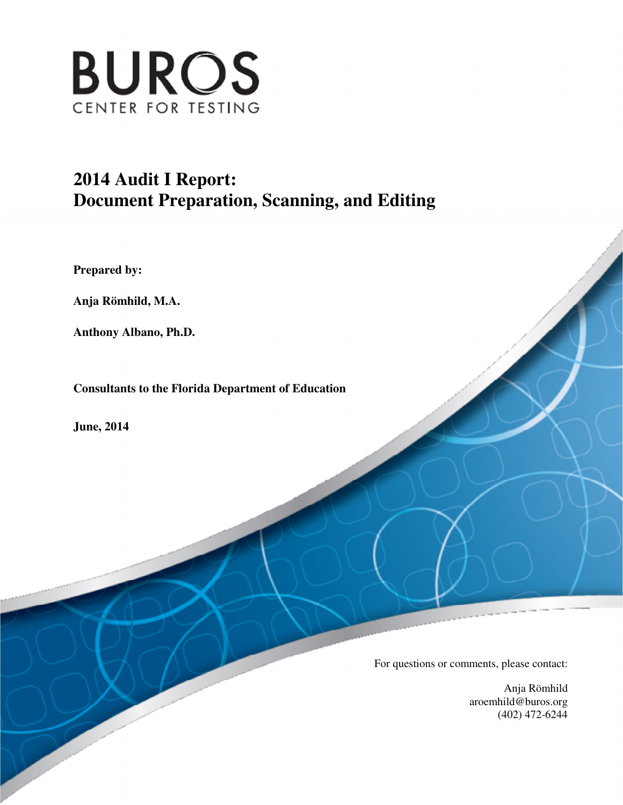

# **Document Preparation, Scanning, and Editing 2014 Audit I Report:**

 **Prepared by:** 

 **Anja Römhild, M.A.** 

 **Anthony Albano, Ph.D.** 

 **Consultants to the Florida Department of Education** 

 **June, 2014** 

For questions or comments, please contact:

 Anja Römhild (402) 472-6244 aroemhild@buros.org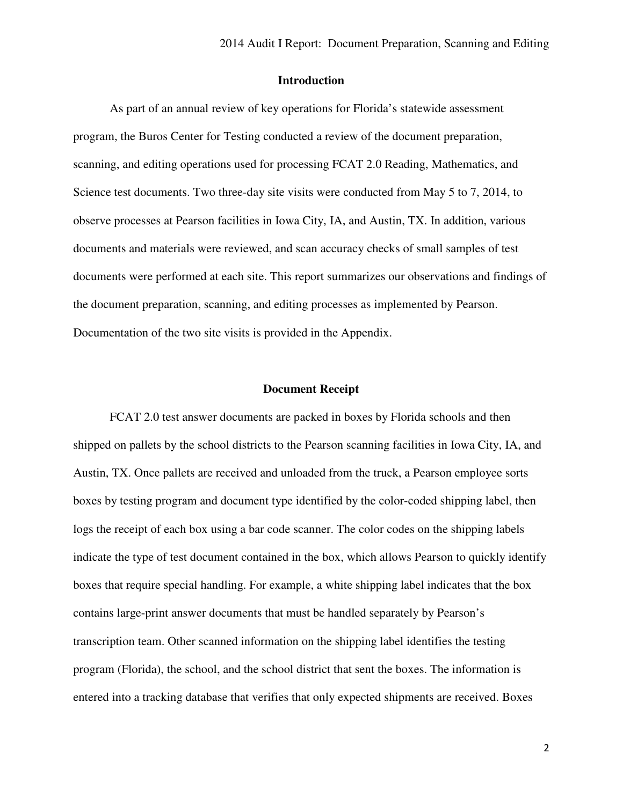#### **Introduction**

 As part of an annual review of key operations for Florida's statewide assessment program, the Buros Center for Testing conducted a review of the document preparation, scanning, and editing operations used for processing FCAT 2.0 Reading, Mathematics, and Science test documents. Two three-day site visits were conducted from May 5 to 7, 2014, to observe processes at Pearson facilities in Iowa City, IA, and Austin, TX. In addition, various documents and materials were reviewed, and scan accuracy checks of small samples of test documents were performed at each site. This report summarizes our observations and findings of the document preparation, scanning, and editing processes as implemented by Pearson. Documentation of the two site visits is provided in the Appendix.

#### **Document Receipt**

 FCAT 2.0 test answer documents are packed in boxes by Florida schools and then shipped on pallets by the school districts to the Pearson scanning facilities in Iowa City, IA, and Austin, TX. Once pallets are received and unloaded from the truck, a Pearson employee sorts boxes by testing program and document type identified by the color-coded shipping label, then logs the receipt of each box using a bar code scanner. The color codes on the shipping labels indicate the type of test document contained in the box, which allows Pearson to quickly identify boxes that require special handling. For example, a white shipping label indicates that the box contains large-print answer documents that must be handled separately by Pearson's transcription team. Other scanned information on the shipping label identifies the testing program (Florida), the school, and the school district that sent the boxes. The information is entered into a tracking database that verifies that only expected shipments are received. Boxes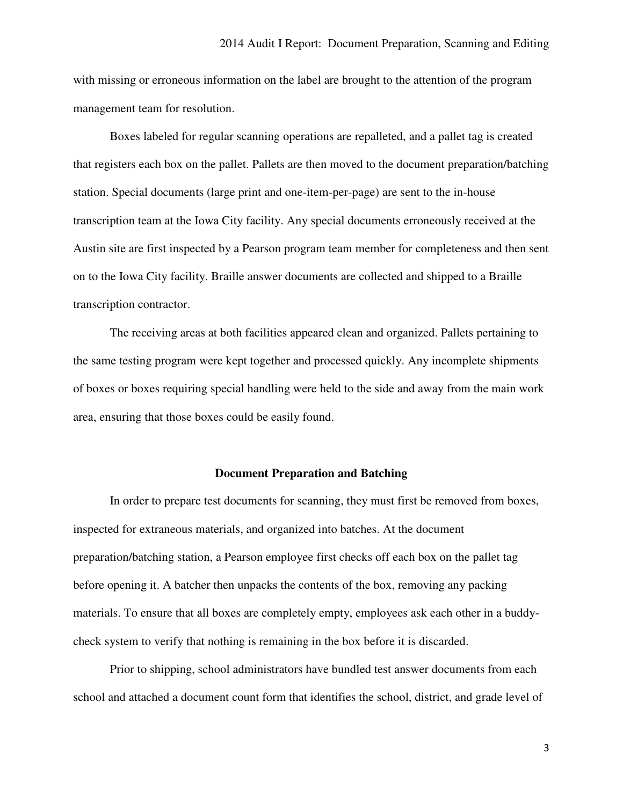with missing or erroneous information on the label are brought to the attention of the program management team for resolution.

 Boxes labeled for regular scanning operations are repalleted, and a pallet tag is created that registers each box on the pallet. Pallets are then moved to the document preparation/batching station. Special documents (large print and one-item-per-page) are sent to the in-house transcription team at the Iowa City facility. Any special documents erroneously received at the Austin site are first inspected by a Pearson program team member for completeness and then sent on to the Iowa City facility. Braille answer documents are collected and shipped to a Braille transcription contractor.

 The receiving areas at both facilities appeared clean and organized. Pallets pertaining to the same testing program were kept together and processed quickly. Any incomplete shipments of boxes or boxes requiring special handling were held to the side and away from the main work area, ensuring that those boxes could be easily found.

#### **Document Preparation and Batching**

 In order to prepare test documents for scanning, they must first be removed from boxes, inspected for extraneous materials, and organized into batches. At the document preparation/batching station, a Pearson employee first checks off each box on the pallet tag before opening it. A batcher then unpacks the contents of the box, removing any packing materials. To ensure that all boxes are completely empty, employees ask each other in a buddy-check system to verify that nothing is remaining in the box before it is discarded.

 Prior to shipping, school administrators have bundled test answer documents from each school and attached a document count form that identifies the school, district, and grade level of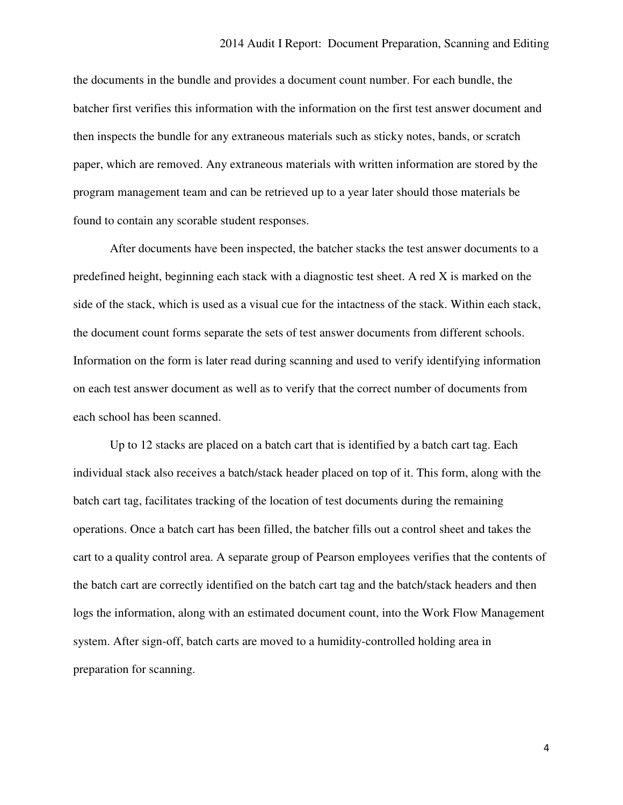the documents in the bundle and provides a document count number. For each bundle, the batcher first verifies this information with the information on the first test answer document and then inspects the bundle for any extraneous materials such as sticky notes, bands, or scratch paper, which are removed. Any extraneous materials with written information are stored by the program management team and can be retrieved up to a year later should those materials be found to contain any scorable student responses.

 After documents have been inspected, the batcher stacks the test answer documents to a predefined height, beginning each stack with a diagnostic test sheet. A red X is marked on the side of the stack, which is used as a visual cue for the intactness of the stack. Within each stack, the document count forms separate the sets of test answer documents from different schools. Information on the form is later read during scanning and used to verify identifying information on each test answer document as well as to verify that the correct number of documents from each school has been scanned.

 Up to 12 stacks are placed on a batch cart that is identified by a batch cart tag. Each individual stack also receives a batch/stack header placed on top of it. This form, along with the batch cart tag, facilitates tracking of the location of test documents during the remaining operations. Once a batch cart has been filled, the batcher fills out a control sheet and takes the cart to a quality control area. A separate group of Pearson employees verifies that the contents of the batch cart are correctly identified on the batch cart tag and the batch/stack headers and then logs the information, along with an estimated document count, into the Work Flow Management system. After sign-off, batch carts are moved to a humidity-controlled holding area in preparation for scanning.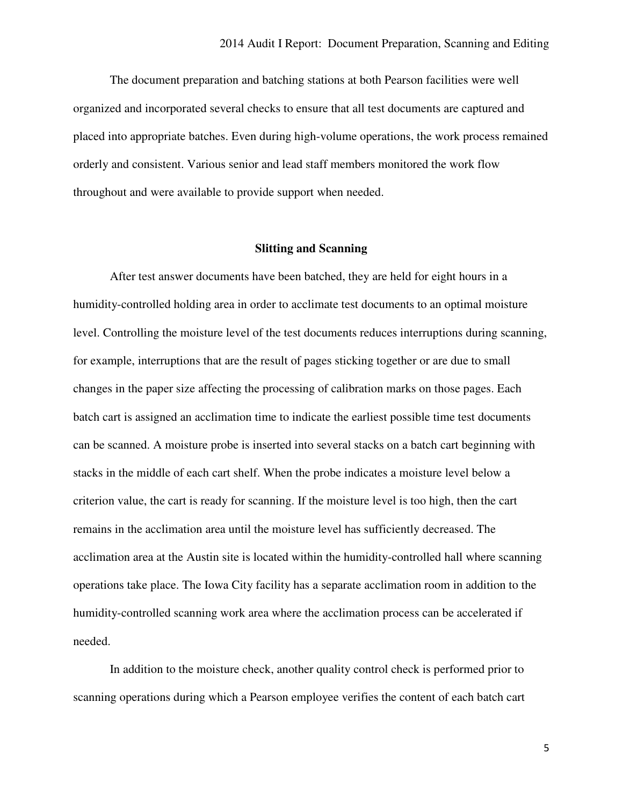organized and incorporated several checks to ensure that all test documents are captured and placed into appropriate batches. Even during high-volume operations, the work process remained orderly and consistent. Various senior and lead staff members monitored the work flow throughout and were available to provide support when needed. The document preparation and batching stations at both Pearson facilities were well

#### **Slitting and Scanning**

 After test answer documents have been batched, they are held for eight hours in a humidity-controlled holding area in order to acclimate test documents to an optimal moisture level. Controlling the moisture level of the test documents reduces interruptions during scanning, for example, interruptions that are the result of pages sticking together or are due to small changes in the paper size affecting the processing of calibration marks on those pages. Each batch cart is assigned an acclimation time to indicate the earliest possible time test documents can be scanned. A moisture probe is inserted into several stacks on a batch cart beginning with stacks in the middle of each cart shelf. When the probe indicates a moisture level below a criterion value, the cart is ready for scanning. If the moisture level is too high, then the cart remains in the acclimation area until the moisture level has sufficiently decreased. The acclimation area at the Austin site is located within the humidity-controlled hall where scanning operations take place. The Iowa City facility has a separate acclimation room in addition to the humidity-controlled scanning work area where the acclimation process can be accelerated if needed.

 In addition to the moisture check, another quality control check is performed prior to scanning operations during which a Pearson employee verifies the content of each batch cart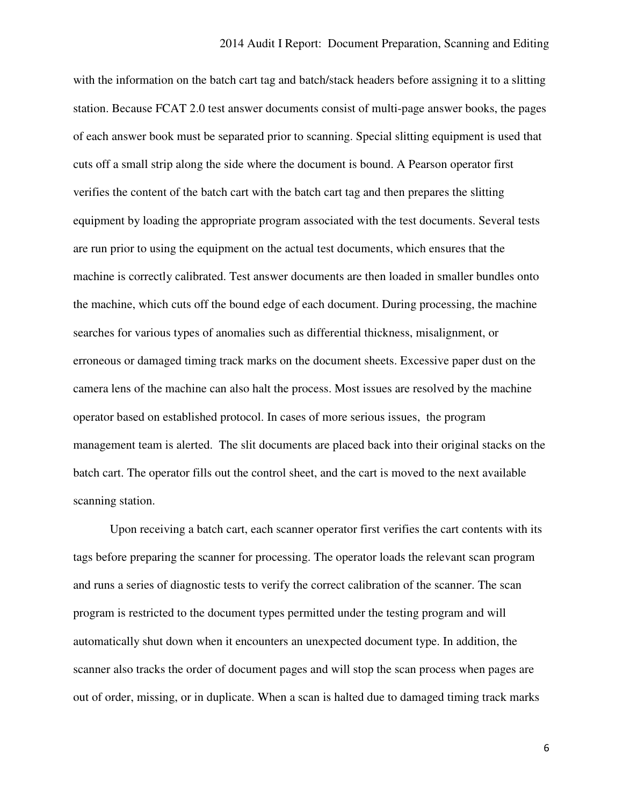with the information on the batch cart tag and batch/stack headers before assigning it to a slitting station. Because FCAT 2.0 test answer documents consist of multi-page answer books, the pages of each answer book must be separated prior to scanning. Special slitting equipment is used that cuts off a small strip along the side where the document is bound. A Pearson operator first verifies the content of the batch cart with the batch cart tag and then prepares the slitting equipment by loading the appropriate program associated with the test documents. Several tests are run prior to using the equipment on the actual test documents, which ensures that the machine is correctly calibrated. Test answer documents are then loaded in smaller bundles onto the machine, which cuts off the bound edge of each document. During processing, the machine searches for various types of anomalies such as differential thickness, misalignment, or erroneous or damaged timing track marks on the document sheets. Excessive paper dust on the camera lens of the machine can also halt the process. Most issues are resolved by the machine operator based on established protocol. In cases of more serious issues, the program management team is alerted. The slit documents are placed back into their original stacks on the batch cart. The operator fills out the control sheet, and the cart is moved to the next available scanning station.

 Upon receiving a batch cart, each scanner operator first verifies the cart contents with its tags before preparing the scanner for processing. The operator loads the relevant scan program and runs a series of diagnostic tests to verify the correct calibration of the scanner. The scan program is restricted to the document types permitted under the testing program and will automatically shut down when it encounters an unexpected document type. In addition, the scanner also tracks the order of document pages and will stop the scan process when pages are out of order, missing, or in duplicate. When a scan is halted due to damaged timing track marks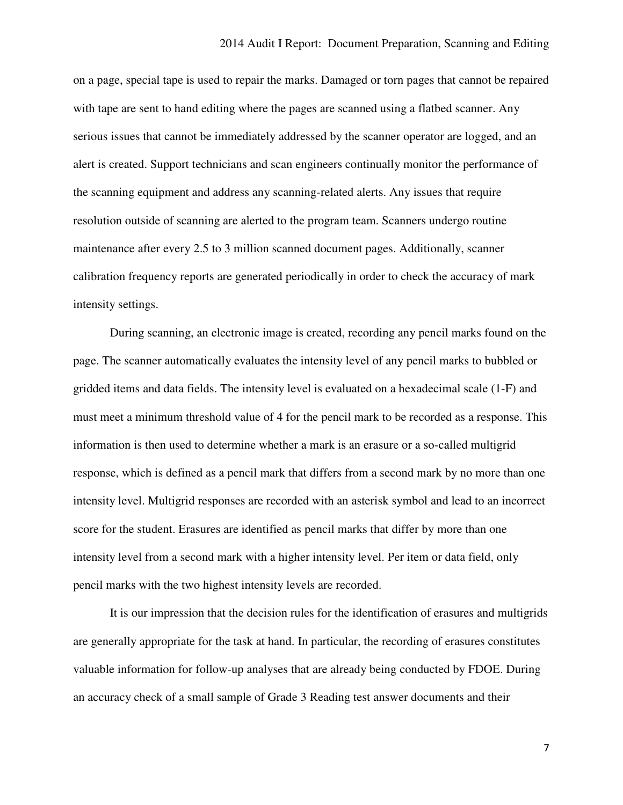on a page, special tape is used to repair the marks. Damaged or torn pages that cannot be repaired with tape are sent to hand editing where the pages are scanned using a flatbed scanner. Any serious issues that cannot be immediately addressed by the scanner operator are logged, and an alert is created. Support technicians and scan engineers continually monitor the performance of the scanning equipment and address any scanning-related alerts. Any issues that require resolution outside of scanning are alerted to the program team. Scanners undergo routine maintenance after every 2.5 to 3 million scanned document pages. Additionally, scanner calibration frequency reports are generated periodically in order to check the accuracy of mark intensity settings.

 During scanning, an electronic image is created, recording any pencil marks found on the page. The scanner automatically evaluates the intensity level of any pencil marks to bubbled or gridded items and data fields. The intensity level is evaluated on a hexadecimal scale (1-F) and must meet a minimum threshold value of 4 for the pencil mark to be recorded as a response. This information is then used to determine whether a mark is an erasure or a so-called multigrid response, which is defined as a pencil mark that differs from a second mark by no more than one intensity level. Multigrid responses are recorded with an asterisk symbol and lead to an incorrect score for the student. Erasures are identified as pencil marks that differ by more than one intensity level from a second mark with a higher intensity level. Per item or data field, only pencil marks with the two highest intensity levels are recorded.

 It is our impression that the decision rules for the identification of erasures and multigrids are generally appropriate for the task at hand. In particular, the recording of erasures constitutes valuable information for follow-up analyses that are already being conducted by FDOE. During an accuracy check of a small sample of Grade 3 Reading test answer documents and their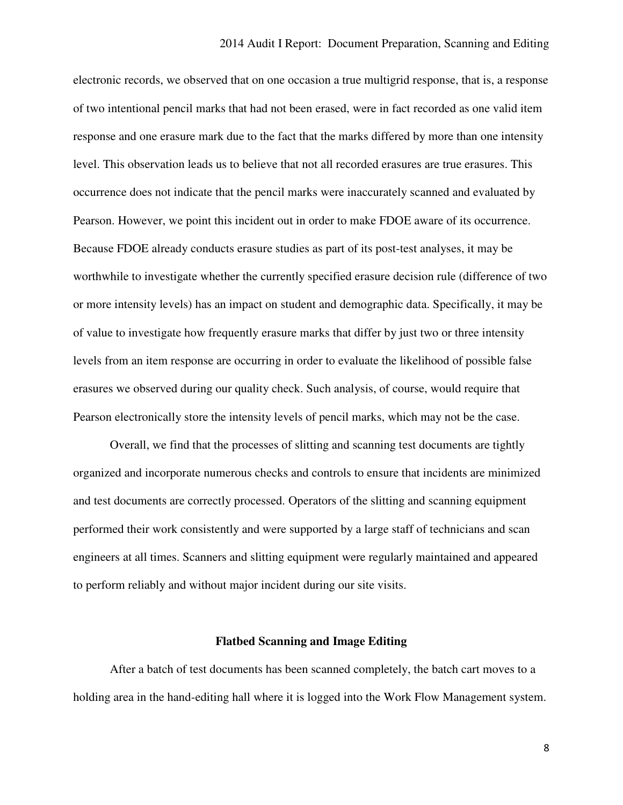electronic records, we observed that on one occasion a true multigrid response, that is, a response of two intentional pencil marks that had not been erased, were in fact recorded as one valid item response and one erasure mark due to the fact that the marks differed by more than one intensity level. This observation leads us to believe that not all recorded erasures are true erasures. This occurrence does not indicate that the pencil marks were inaccurately scanned and evaluated by Pearson. However, we point this incident out in order to make FDOE aware of its occurrence. Because FDOE already conducts erasure studies as part of its post-test analyses, it may be worthwhile to investigate whether the currently specified erasure decision rule (difference of two or more intensity levels) has an impact on student and demographic data. Specifically, it may be of value to investigate how frequently erasure marks that differ by just two or three intensity levels from an item response are occurring in order to evaluate the likelihood of possible false erasures we observed during our quality check. Such analysis, of course, would require that Pearson electronically store the intensity levels of pencil marks, which may not be the case.

 Overall, we find that the processes of slitting and scanning test documents are tightly organized and incorporate numerous checks and controls to ensure that incidents are minimized and test documents are correctly processed. Operators of the slitting and scanning equipment performed their work consistently and were supported by a large staff of technicians and scan engineers at all times. Scanners and slitting equipment were regularly maintained and appeared to perform reliably and without major incident during our site visits.

#### **Flatbed Scanning and Image Editing**

 holding area in the hand-editing hall where it is logged into the Work Flow Management system. After a batch of test documents has been scanned completely, the batch cart moves to a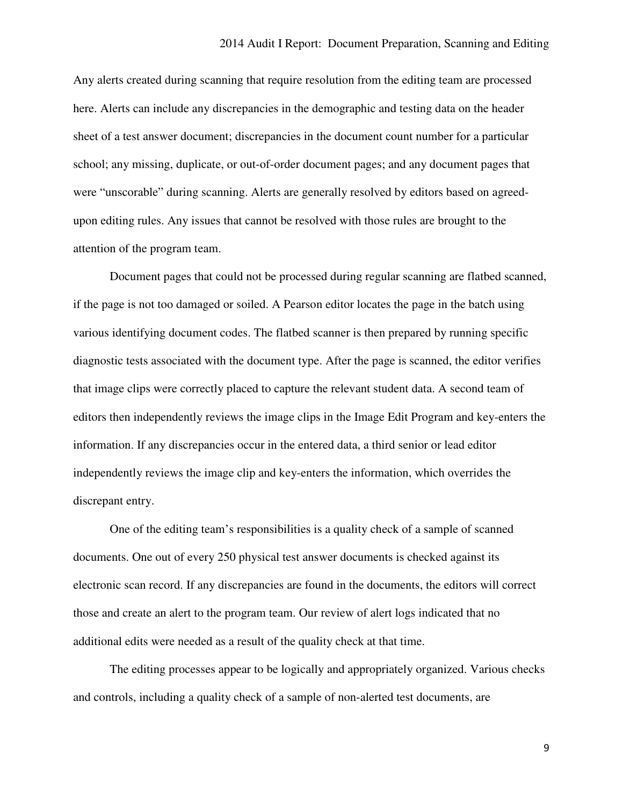Any alerts created during scanning that require resolution from the editing team are processed here. Alerts can include any discrepancies in the demographic and testing data on the header sheet of a test answer document; discrepancies in the document count number for a particular school; any missing, duplicate, or out-of-order document pages; and any document pages that were "unscorable" during scanning. Alerts are generally resolved by editors based on agreed- upon editing rules. Any issues that cannot be resolved with those rules are brought to the attention of the program team.

 Document pages that could not be processed during regular scanning are flatbed scanned, if the page is not too damaged or soiled. A Pearson editor locates the page in the batch using various identifying document codes. The flatbed scanner is then prepared by running specific diagnostic tests associated with the document type. After the page is scanned, the editor verifies that image clips were correctly placed to capture the relevant student data. A second team of editors then independently reviews the image clips in the Image Edit Program and key-enters the information. If any discrepancies occur in the entered data, a third senior or lead editor independently reviews the image clip and key-enters the information, which overrides the discrepant entry.

 One of the editing team's responsibilities is a quality check of a sample of scanned documents. One out of every 250 physical test answer documents is checked against its electronic scan record. If any discrepancies are found in the documents, the editors will correct those and create an alert to the program team. Our review of alert logs indicated that no additional edits were needed as a result of the quality check at that time.

 and controls, including a quality check of a sample of non-alerted test documents, are The editing processes appear to be logically and appropriately organized. Various checks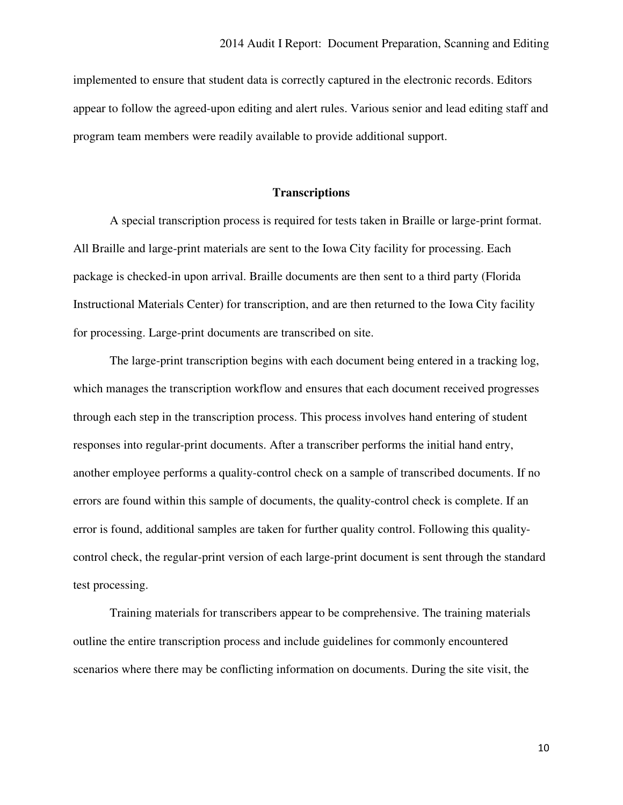implemented to ensure that student data is correctly captured in the electronic records. Editors appear to follow the agreed-upon editing and alert rules. Various senior and lead editing staff and program team members were readily available to provide additional support.

#### **Transcriptions**

 All Braille and large-print materials are sent to the Iowa City facility for processing. Each package is checked-in upon arrival. Braille documents are then sent to a third party (Florida Instructional Materials Center) for transcription, and are then returned to the Iowa City facility for processing. Large-print documents are transcribed on site. A special transcription process is required for tests taken in Braille or large-print format.

 which manages the transcription workflow and ensures that each document received progresses through each step in the transcription process. This process involves hand entering of student responses into regular-print documents. After a transcriber performs the initial hand entry, another employee performs a quality-control check on a sample of transcribed documents. If no errors are found within this sample of documents, the quality-control check is complete. If an error is found, additional samples are taken for further quality control. Following this quality- control check, the regular-print version of each large-print document is sent through the standard test processing. The large-print transcription begins with each document being entered in a tracking log,

 Training materials for transcribers appear to be comprehensive. The training materials outline the entire transcription process and include guidelines for commonly encountered scenarios where there may be conflicting information on documents. During the site visit, the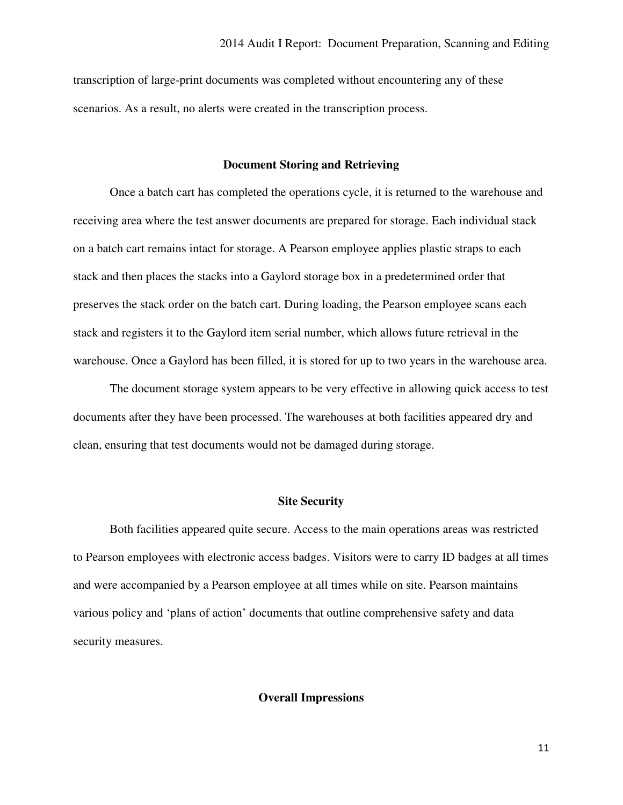transcription of large-print documents was completed without encountering any of these scenarios. As a result, no alerts were created in the transcription process.

#### **Document Storing and Retrieving**

 Once a batch cart has completed the operations cycle, it is returned to the warehouse and receiving area where the test answer documents are prepared for storage. Each individual stack on a batch cart remains intact for storage. A Pearson employee applies plastic straps to each stack and then places the stacks into a Gaylord storage box in a predetermined order that preserves the stack order on the batch cart. During loading, the Pearson employee scans each stack and registers it to the Gaylord item serial number, which allows future retrieval in the warehouse. Once a Gaylord has been filled, it is stored for up to two years in the warehouse area.

 The document storage system appears to be very effective in allowing quick access to test documents after they have been processed. The warehouses at both facilities appeared dry and clean, ensuring that test documents would not be damaged during storage.

#### **Site Security**

 to Pearson employees with electronic access badges. Visitors were to carry ID badges at all times and were accompanied by a Pearson employee at all times while on site. Pearson maintains various policy and 'plans of action' documents that outline comprehensive safety and data security measures. Both facilities appeared quite secure. Access to the main operations areas was restricted

#### **Overall Impressions**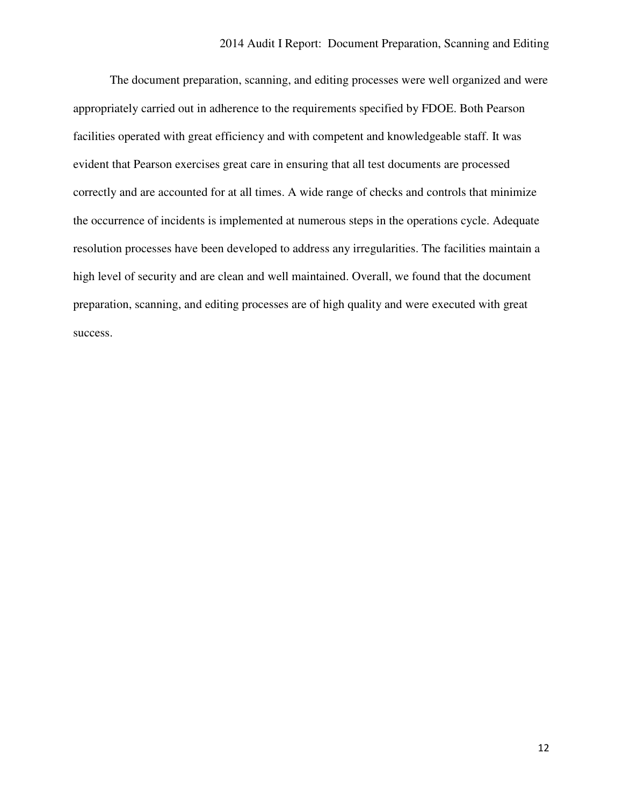The document preparation, scanning, and editing processes were well organized and were appropriately carried out in adherence to the requirements specified by FDOE. Both Pearson facilities operated with great efficiency and with competent and knowledgeable staff. It was evident that Pearson exercises great care in ensuring that all test documents are processed correctly and are accounted for at all times. A wide range of checks and controls that minimize the occurrence of incidents is implemented at numerous steps in the operations cycle. Adequate resolution processes have been developed to address any irregularities. The facilities maintain a high level of security and are clean and well maintained. Overall, we found that the document preparation, scanning, and editing processes are of high quality and were executed with great success.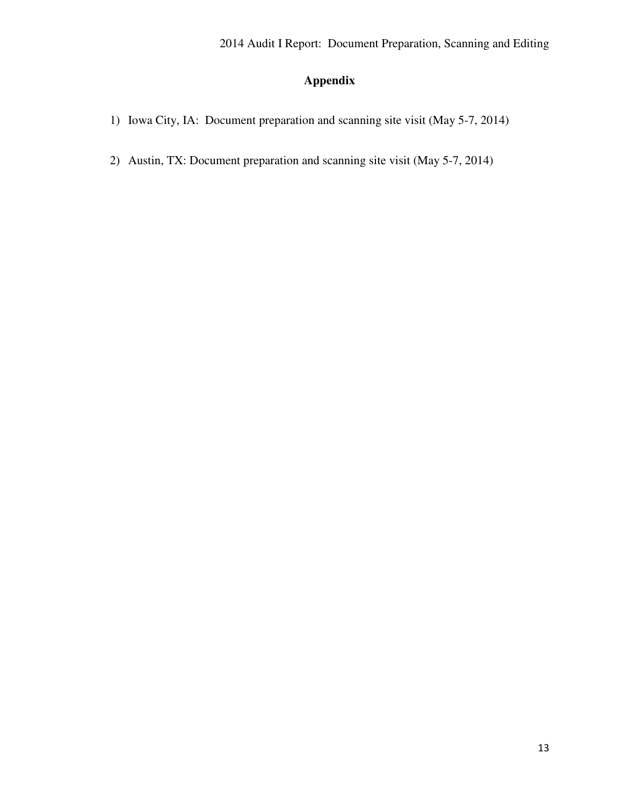### **Appendix**

- 1) Iowa City, IA: Document preparation and scanning site visit (May 5-7, 2014)
- 2) Austin, TX: Document preparation and scanning site visit (May 5-7, 2014)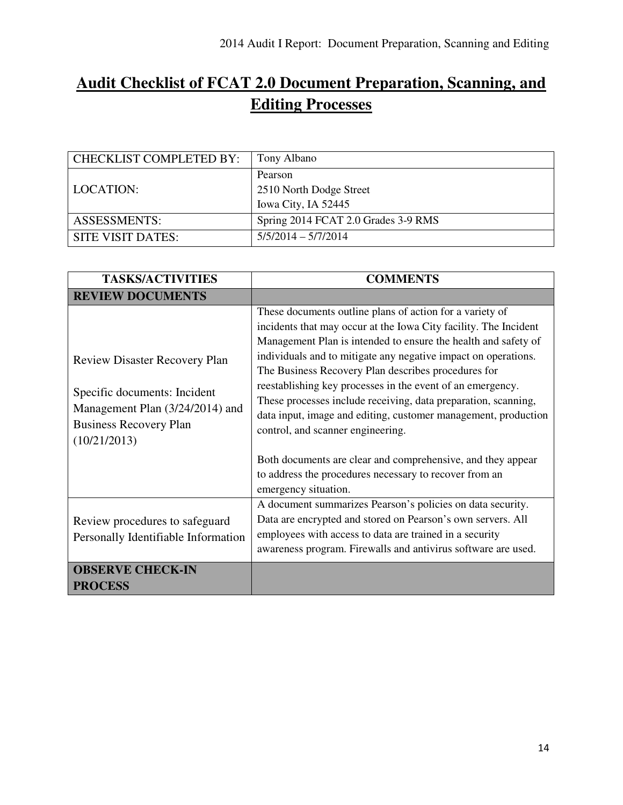## **Audit Checklist of FCAT 2.0 Document Preparation, Scanning, and Editing Processes**

| <b>CHECKLIST COMPLETED BY:</b> | Tony Albano                         |
|--------------------------------|-------------------------------------|
|                                | Pearson                             |
| LOCATION:                      | 2510 North Dodge Street             |
|                                | Iowa City, IA 52445                 |
| <b>ASSESSMENTS:</b>            | Spring 2014 FCAT 2.0 Grades 3-9 RMS |
| SITE VISIT DATES:              | $5/5/2014 - 5/7/2014$               |

| <b>TASKS/ACTIVITIES</b>                                                                                                                                  | <b>COMMENTS</b>                                                                                                                                                                                                                                                                                                                                                                                                                                                                                                                                                |
|----------------------------------------------------------------------------------------------------------------------------------------------------------|----------------------------------------------------------------------------------------------------------------------------------------------------------------------------------------------------------------------------------------------------------------------------------------------------------------------------------------------------------------------------------------------------------------------------------------------------------------------------------------------------------------------------------------------------------------|
| <b>REVIEW DOCUMENTS</b>                                                                                                                                  |                                                                                                                                                                                                                                                                                                                                                                                                                                                                                                                                                                |
| <b>Review Disaster Recovery Plan</b><br>Specific documents: Incident<br>Management Plan (3/24/2014) and<br><b>Business Recovery Plan</b><br>(10/21/2013) | These documents outline plans of action for a variety of<br>incidents that may occur at the Iowa City facility. The Incident<br>Management Plan is intended to ensure the health and safety of<br>individuals and to mitigate any negative impact on operations.<br>The Business Recovery Plan describes procedures for<br>reestablishing key processes in the event of an emergency.<br>These processes include receiving, data preparation, scanning,<br>data input, image and editing, customer management, production<br>control, and scanner engineering. |
|                                                                                                                                                          | Both documents are clear and comprehensive, and they appear<br>to address the procedures necessary to recover from an<br>emergency situation.                                                                                                                                                                                                                                                                                                                                                                                                                  |
| Review procedures to safeguard<br>Personally Identifiable Information                                                                                    | A document summarizes Pearson's policies on data security.<br>Data are encrypted and stored on Pearson's own servers. All<br>employees with access to data are trained in a security<br>awareness program. Firewalls and antivirus software are used.                                                                                                                                                                                                                                                                                                          |
| <b>OBSERVE CHECK-IN</b><br><b>PROCESS</b>                                                                                                                |                                                                                                                                                                                                                                                                                                                                                                                                                                                                                                                                                                |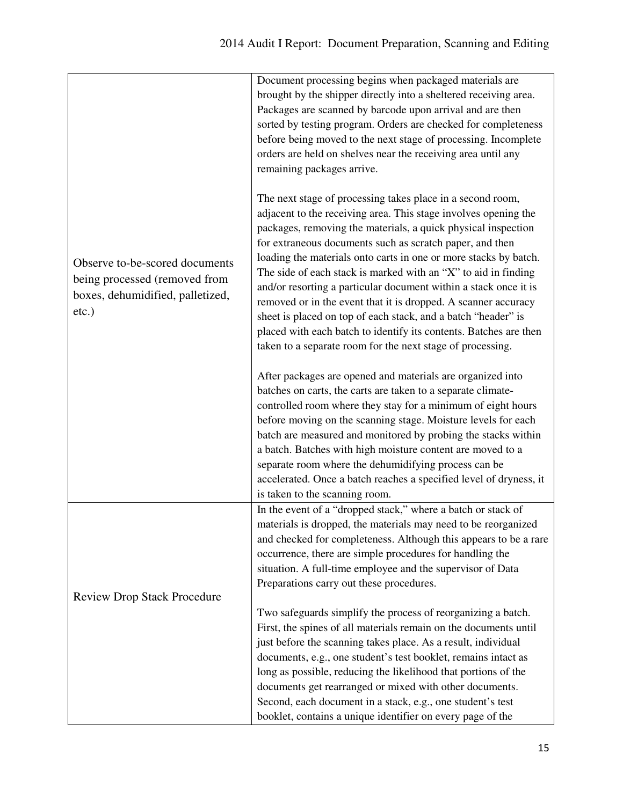|                                                                                                                 | Document processing begins when packaged materials are<br>brought by the shipper directly into a sheltered receiving area.<br>Packages are scanned by barcode upon arrival and are then<br>sorted by testing program. Orders are checked for completeness<br>before being moved to the next stage of processing. Incomplete<br>orders are held on shelves near the receiving area until any<br>remaining packages arrive.                                                                                                                                                                                                                                                                                                                  |
|-----------------------------------------------------------------------------------------------------------------|--------------------------------------------------------------------------------------------------------------------------------------------------------------------------------------------------------------------------------------------------------------------------------------------------------------------------------------------------------------------------------------------------------------------------------------------------------------------------------------------------------------------------------------------------------------------------------------------------------------------------------------------------------------------------------------------------------------------------------------------|
| Observe to-be-scored documents<br>being processed (removed from<br>boxes, dehumidified, palletized,<br>$etc.$ ) | The next stage of processing takes place in a second room,<br>adjacent to the receiving area. This stage involves opening the<br>packages, removing the materials, a quick physical inspection<br>for extraneous documents such as scratch paper, and then<br>loading the materials onto carts in one or more stacks by batch.<br>The side of each stack is marked with an "X" to aid in finding<br>and/or resorting a particular document within a stack once it is<br>removed or in the event that it is dropped. A scanner accuracy<br>sheet is placed on top of each stack, and a batch "header" is<br>placed with each batch to identify its contents. Batches are then<br>taken to a separate room for the next stage of processing. |
|                                                                                                                 | After packages are opened and materials are organized into<br>batches on carts, the carts are taken to a separate climate-<br>controlled room where they stay for a minimum of eight hours<br>before moving on the scanning stage. Moisture levels for each<br>batch are measured and monitored by probing the stacks within<br>a batch. Batches with high moisture content are moved to a<br>separate room where the dehumidifying process can be<br>accelerated. Once a batch reaches a specified level of dryness, it<br>is taken to the scanning room.                                                                                                                                                                                 |
| <b>Review Drop Stack Procedure</b>                                                                              | In the event of a "dropped stack," where a batch or stack of<br>materials is dropped, the materials may need to be reorganized<br>and checked for completeness. Although this appears to be a rare<br>occurrence, there are simple procedures for handling the<br>situation. A full-time employee and the supervisor of Data<br>Preparations carry out these procedures.                                                                                                                                                                                                                                                                                                                                                                   |
|                                                                                                                 | Two safeguards simplify the process of reorganizing a batch.<br>First, the spines of all materials remain on the documents until<br>just before the scanning takes place. As a result, individual<br>documents, e.g., one student's test booklet, remains intact as<br>long as possible, reducing the likelihood that portions of the<br>documents get rearranged or mixed with other documents.<br>Second, each document in a stack, e.g., one student's test<br>booklet, contains a unique identifier on every page of the                                                                                                                                                                                                               |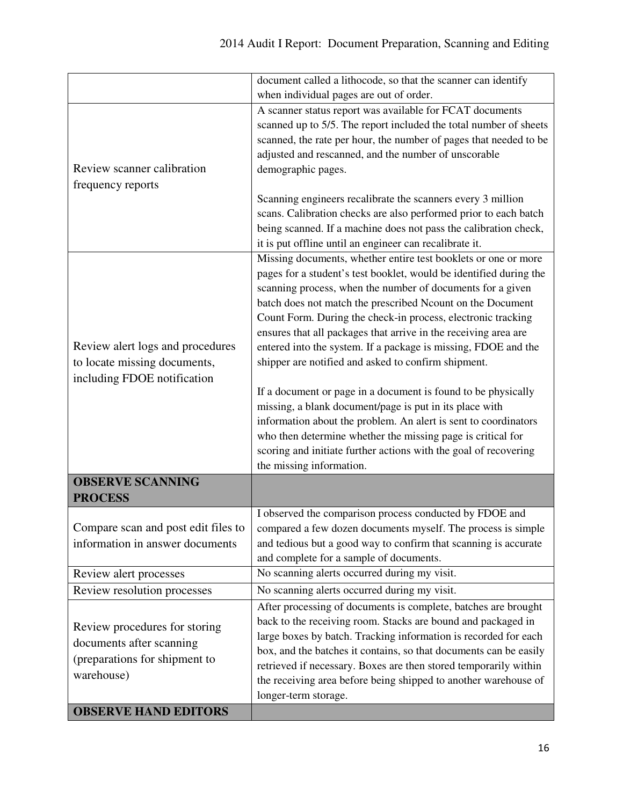|                                     | document called a lithocode, so that the scanner can identify                                                                   |
|-------------------------------------|---------------------------------------------------------------------------------------------------------------------------------|
|                                     | when individual pages are out of order.                                                                                         |
|                                     | A scanner status report was available for FCAT documents                                                                        |
|                                     | scanned up to 5/5. The report included the total number of sheets                                                               |
|                                     | scanned, the rate per hour, the number of pages that needed to be                                                               |
|                                     | adjusted and rescanned, and the number of unscorable                                                                            |
| Review scanner calibration          | demographic pages.                                                                                                              |
| frequency reports                   |                                                                                                                                 |
|                                     | Scanning engineers recalibrate the scanners every 3 million                                                                     |
|                                     | scans. Calibration checks are also performed prior to each batch                                                                |
|                                     | being scanned. If a machine does not pass the calibration check,                                                                |
|                                     | it is put offline until an engineer can recalibrate it.                                                                         |
|                                     | Missing documents, whether entire test booklets or one or more                                                                  |
|                                     | pages for a student's test booklet, would be identified during the                                                              |
|                                     | scanning process, when the number of documents for a given                                                                      |
|                                     | batch does not match the prescribed Ncount on the Document                                                                      |
|                                     | Count Form. During the check-in process, electronic tracking                                                                    |
|                                     | ensures that all packages that arrive in the receiving area are                                                                 |
| Review alert logs and procedures    | entered into the system. If a package is missing, FDOE and the                                                                  |
| to locate missing documents,        | shipper are notified and asked to confirm shipment.                                                                             |
| including FDOE notification         |                                                                                                                                 |
|                                     | If a document or page in a document is found to be physically                                                                   |
|                                     | missing, a blank document/page is put in its place with                                                                         |
|                                     | information about the problem. An alert is sent to coordinators                                                                 |
|                                     | who then determine whether the missing page is critical for<br>scoring and initiate further actions with the goal of recovering |
|                                     | the missing information.                                                                                                        |
| <b>OBSERVE SCANNING</b>             |                                                                                                                                 |
| <b>PROCESS</b>                      |                                                                                                                                 |
|                                     | I observed the comparison process conducted by FDOE and                                                                         |
| Compare scan and post edit files to | compared a few dozen documents myself. The process is simple                                                                    |
| information in answer documents     | and tedious but a good way to confirm that scanning is accurate                                                                 |
|                                     | and complete for a sample of documents.                                                                                         |
| Review alert processes              | No scanning alerts occurred during my visit.                                                                                    |
| Review resolution processes         | No scanning alerts occurred during my visit.                                                                                    |
|                                     | After processing of documents is complete, batches are brought                                                                  |
| Review procedures for storing       | back to the receiving room. Stacks are bound and packaged in                                                                    |
| documents after scanning            | large boxes by batch. Tracking information is recorded for each                                                                 |
|                                     | box, and the batches it contains, so that documents can be easily                                                               |
| (preparations for shipment to       | retrieved if necessary. Boxes are then stored temporarily within                                                                |
| warehouse)                          | the receiving area before being shipped to another warehouse of                                                                 |
|                                     | longer-term storage.                                                                                                            |
| <b>OBSERVE HAND EDITORS</b>         |                                                                                                                                 |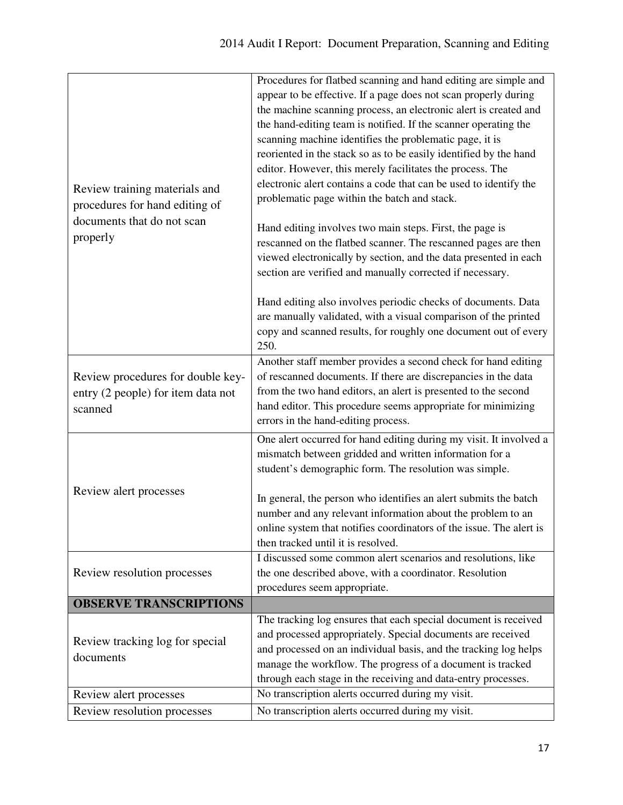| Review training materials and<br>procedures for hand editing of<br>documents that do not scan<br>properly | Procedures for flatbed scanning and hand editing are simple and<br>appear to be effective. If a page does not scan properly during<br>the machine scanning process, an electronic alert is created and<br>the hand-editing team is notified. If the scanner operating the<br>scanning machine identifies the problematic page, it is<br>reoriented in the stack so as to be easily identified by the hand<br>editor. However, this merely facilitates the process. The<br>electronic alert contains a code that can be used to identify the<br>problematic page within the batch and stack. |
|-----------------------------------------------------------------------------------------------------------|---------------------------------------------------------------------------------------------------------------------------------------------------------------------------------------------------------------------------------------------------------------------------------------------------------------------------------------------------------------------------------------------------------------------------------------------------------------------------------------------------------------------------------------------------------------------------------------------|
|                                                                                                           | Hand editing involves two main steps. First, the page is<br>rescanned on the flatbed scanner. The rescanned pages are then<br>viewed electronically by section, and the data presented in each<br>section are verified and manually corrected if necessary.                                                                                                                                                                                                                                                                                                                                 |
|                                                                                                           | Hand editing also involves periodic checks of documents. Data<br>are manually validated, with a visual comparison of the printed<br>copy and scanned results, for roughly one document out of every<br>250.                                                                                                                                                                                                                                                                                                                                                                                 |
| Review procedures for double key-<br>entry (2 people) for item data not<br>scanned                        | Another staff member provides a second check for hand editing<br>of rescanned documents. If there are discrepancies in the data<br>from the two hand editors, an alert is presented to the second<br>hand editor. This procedure seems appropriate for minimizing<br>errors in the hand-editing process.                                                                                                                                                                                                                                                                                    |
|                                                                                                           | One alert occurred for hand editing during my visit. It involved a<br>mismatch between gridded and written information for a<br>student's demographic form. The resolution was simple.                                                                                                                                                                                                                                                                                                                                                                                                      |
| Review alert processes                                                                                    | In general, the person who identifies an alert submits the batch<br>number and any relevant information about the problem to an<br>online system that notifies coordinators of the issue. The alert is<br>then tracked until it is resolved.                                                                                                                                                                                                                                                                                                                                                |
| Review resolution processes                                                                               | I discussed some common alert scenarios and resolutions, like<br>the one described above, with a coordinator. Resolution<br>procedures seem appropriate.                                                                                                                                                                                                                                                                                                                                                                                                                                    |
| <b>OBSERVE TRANSCRIPTIONS</b>                                                                             |                                                                                                                                                                                                                                                                                                                                                                                                                                                                                                                                                                                             |
| Review tracking log for special<br>documents                                                              | The tracking log ensures that each special document is received<br>and processed appropriately. Special documents are received<br>and processed on an individual basis, and the tracking log helps<br>manage the workflow. The progress of a document is tracked<br>through each stage in the receiving and data-entry processes.                                                                                                                                                                                                                                                           |
| Review alert processes                                                                                    | No transcription alerts occurred during my visit.                                                                                                                                                                                                                                                                                                                                                                                                                                                                                                                                           |
| Review resolution processes                                                                               | No transcription alerts occurred during my visit.                                                                                                                                                                                                                                                                                                                                                                                                                                                                                                                                           |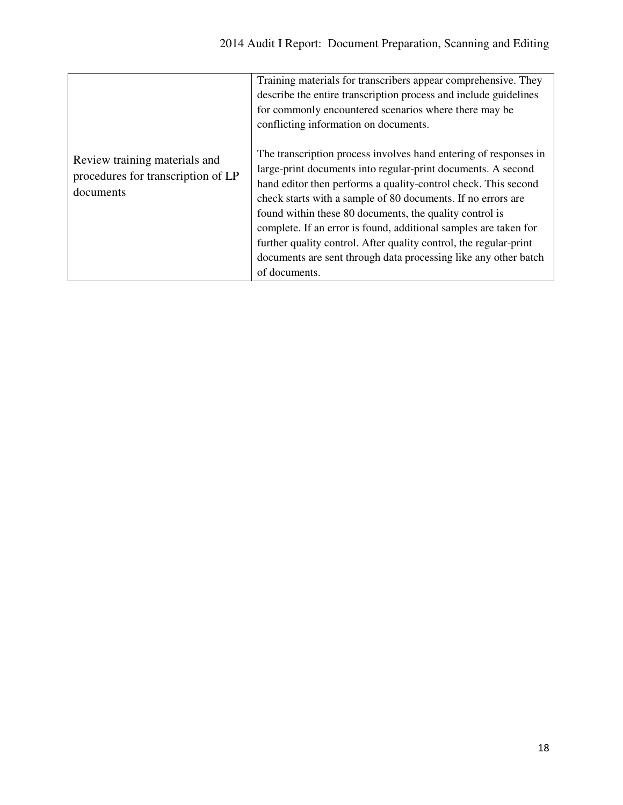|                                                                                  | Training materials for transcribers appear comprehensive. They<br>describe the entire transcription process and include guidelines<br>for commonly encountered scenarios where there may be<br>conflicting information on documents.                                                                                                                                                                                                                                                                                                                       |
|----------------------------------------------------------------------------------|------------------------------------------------------------------------------------------------------------------------------------------------------------------------------------------------------------------------------------------------------------------------------------------------------------------------------------------------------------------------------------------------------------------------------------------------------------------------------------------------------------------------------------------------------------|
| Review training materials and<br>procedures for transcription of LP<br>documents | The transcription process involves hand entering of responses in<br>large-print documents into regular-print documents. A second<br>hand editor then performs a quality-control check. This second<br>check starts with a sample of 80 documents. If no errors are<br>found within these 80 documents, the quality control is<br>complete. If an error is found, additional samples are taken for<br>further quality control. After quality control, the regular-print<br>documents are sent through data processing like any other batch<br>of documents. |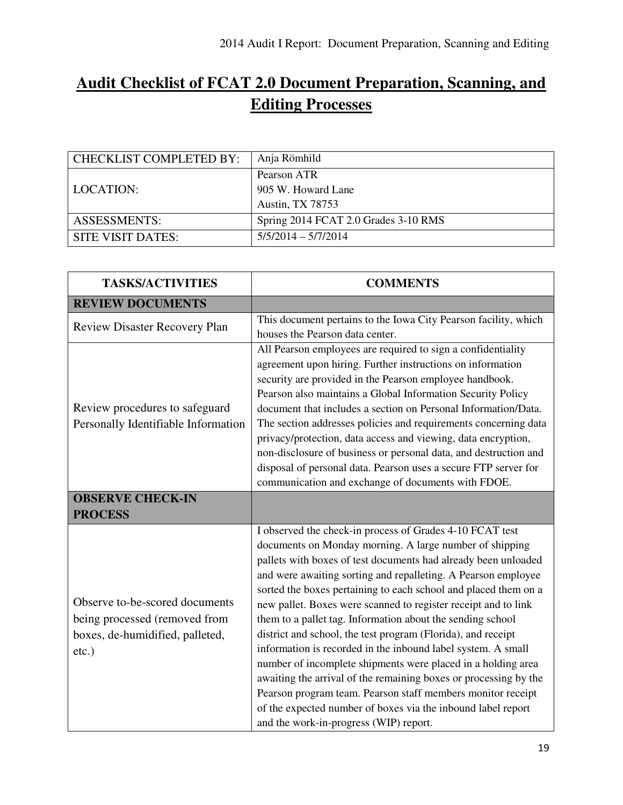## **Audit Checklist of FCAT 2.0 Document Preparation, Scanning, and Editing Processes**

| <b>CHECKLIST COMPLETED BY:</b> | Anja Römhild                         |
|--------------------------------|--------------------------------------|
|                                | Pearson ATR                          |
| LOCATION:                      | 905 W. Howard Lane                   |
|                                | Austin, TX 78753                     |
| <b>ASSESSMENTS:</b>            | Spring 2014 FCAT 2.0 Grades 3-10 RMS |
| SITE VISIT DATES:              | $5/5/2014 - 5/7/2014$                |

| <b>TASKS/ACTIVITIES</b>                                                                                        | <b>COMMENTS</b>                                                                                                                                                                                                                                                                                                                                                                                                                                                                                                                                                                                                                                                                                                                                                                                                                                                                                        |
|----------------------------------------------------------------------------------------------------------------|--------------------------------------------------------------------------------------------------------------------------------------------------------------------------------------------------------------------------------------------------------------------------------------------------------------------------------------------------------------------------------------------------------------------------------------------------------------------------------------------------------------------------------------------------------------------------------------------------------------------------------------------------------------------------------------------------------------------------------------------------------------------------------------------------------------------------------------------------------------------------------------------------------|
| <b>REVIEW DOCUMENTS</b>                                                                                        |                                                                                                                                                                                                                                                                                                                                                                                                                                                                                                                                                                                                                                                                                                                                                                                                                                                                                                        |
| <b>Review Disaster Recovery Plan</b>                                                                           | This document pertains to the Iowa City Pearson facility, which<br>houses the Pearson data center.                                                                                                                                                                                                                                                                                                                                                                                                                                                                                                                                                                                                                                                                                                                                                                                                     |
| Review procedures to safeguard<br>Personally Identifiable Information                                          | All Pearson employees are required to sign a confidentiality<br>agreement upon hiring. Further instructions on information<br>security are provided in the Pearson employee handbook.<br>Pearson also maintains a Global Information Security Policy<br>document that includes a section on Personal Information/Data.<br>The section addresses policies and requirements concerning data<br>privacy/protection, data access and viewing, data encryption,<br>non-disclosure of business or personal data, and destruction and<br>disposal of personal data. Pearson uses a secure FTP server for<br>communication and exchange of documents with FDOE.                                                                                                                                                                                                                                                |
| <b>OBSERVE CHECK-IN</b>                                                                                        |                                                                                                                                                                                                                                                                                                                                                                                                                                                                                                                                                                                                                                                                                                                                                                                                                                                                                                        |
| <b>PROCESS</b>                                                                                                 |                                                                                                                                                                                                                                                                                                                                                                                                                                                                                                                                                                                                                                                                                                                                                                                                                                                                                                        |
| Observe to-be-scored documents<br>being processed (removed from<br>boxes, de-humidified, palleted,<br>$etc.$ ) | I observed the check-in process of Grades 4-10 FCAT test<br>documents on Monday morning. A large number of shipping<br>pallets with boxes of test documents had already been unloaded<br>and were awaiting sorting and repalleting. A Pearson employee<br>sorted the boxes pertaining to each school and placed them on a<br>new pallet. Boxes were scanned to register receipt and to link<br>them to a pallet tag. Information about the sending school<br>district and school, the test program (Florida), and receipt<br>information is recorded in the inbound label system. A small<br>number of incomplete shipments were placed in a holding area<br>awaiting the arrival of the remaining boxes or processing by the<br>Pearson program team. Pearson staff members monitor receipt<br>of the expected number of boxes via the inbound label report<br>and the work-in-progress (WIP) report. |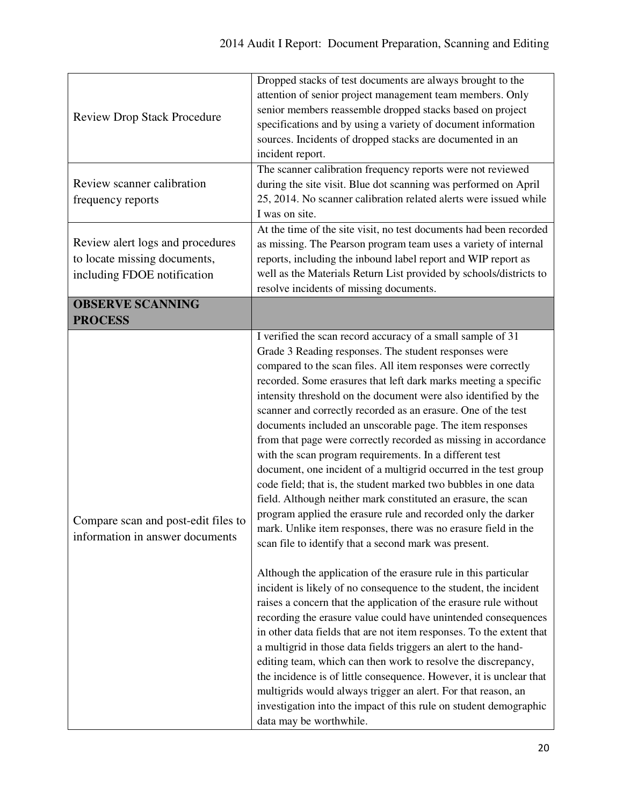| <b>Review Drop Stack Procedure</b>                                                              | Dropped stacks of test documents are always brought to the<br>attention of senior project management team members. Only<br>senior members reassemble dropped stacks based on project<br>specifications and by using a variety of document information<br>sources. Incidents of dropped stacks are documented in an<br>incident report.<br>The scanner calibration frequency reports were not reviewed                                                                                                                                                                                                                                                                                                                                                                                                                                                                                                                                                                                                                                                                                                                                                                                                                                                                                                                                                                                                                                                                                                                                                                                                                                                                                                                          |
|-------------------------------------------------------------------------------------------------|--------------------------------------------------------------------------------------------------------------------------------------------------------------------------------------------------------------------------------------------------------------------------------------------------------------------------------------------------------------------------------------------------------------------------------------------------------------------------------------------------------------------------------------------------------------------------------------------------------------------------------------------------------------------------------------------------------------------------------------------------------------------------------------------------------------------------------------------------------------------------------------------------------------------------------------------------------------------------------------------------------------------------------------------------------------------------------------------------------------------------------------------------------------------------------------------------------------------------------------------------------------------------------------------------------------------------------------------------------------------------------------------------------------------------------------------------------------------------------------------------------------------------------------------------------------------------------------------------------------------------------------------------------------------------------------------------------------------------------|
| Review scanner calibration<br>frequency reports                                                 | during the site visit. Blue dot scanning was performed on April<br>25, 2014. No scanner calibration related alerts were issued while<br>I was on site.                                                                                                                                                                                                                                                                                                                                                                                                                                                                                                                                                                                                                                                                                                                                                                                                                                                                                                                                                                                                                                                                                                                                                                                                                                                                                                                                                                                                                                                                                                                                                                         |
| Review alert logs and procedures<br>to locate missing documents,<br>including FDOE notification | At the time of the site visit, no test documents had been recorded<br>as missing. The Pearson program team uses a variety of internal<br>reports, including the inbound label report and WIP report as<br>well as the Materials Return List provided by schools/districts to<br>resolve incidents of missing documents.                                                                                                                                                                                                                                                                                                                                                                                                                                                                                                                                                                                                                                                                                                                                                                                                                                                                                                                                                                                                                                                                                                                                                                                                                                                                                                                                                                                                        |
| <b>OBSERVE SCANNING</b><br><b>PROCESS</b>                                                       |                                                                                                                                                                                                                                                                                                                                                                                                                                                                                                                                                                                                                                                                                                                                                                                                                                                                                                                                                                                                                                                                                                                                                                                                                                                                                                                                                                                                                                                                                                                                                                                                                                                                                                                                |
| Compare scan and post-edit files to<br>information in answer documents                          | I verified the scan record accuracy of a small sample of 31<br>Grade 3 Reading responses. The student responses were<br>compared to the scan files. All item responses were correctly<br>recorded. Some erasures that left dark marks meeting a specific<br>intensity threshold on the document were also identified by the<br>scanner and correctly recorded as an erasure. One of the test<br>documents included an unscorable page. The item responses<br>from that page were correctly recorded as missing in accordance<br>with the scan program requirements. In a different test<br>document, one incident of a multigrid occurred in the test group<br>code field; that is, the student marked two bubbles in one data<br>field. Although neither mark constituted an erasure, the scan<br>program applied the erasure rule and recorded only the darker<br>mark. Unlike item responses, there was no erasure field in the<br>scan file to identify that a second mark was present.<br>Although the application of the erasure rule in this particular<br>incident is likely of no consequence to the student, the incident<br>raises a concern that the application of the erasure rule without<br>recording the erasure value could have unintended consequences<br>in other data fields that are not item responses. To the extent that<br>a multigrid in those data fields triggers an alert to the hand-<br>editing team, which can then work to resolve the discrepancy,<br>the incidence is of little consequence. However, it is unclear that<br>multigrids would always trigger an alert. For that reason, an<br>investigation into the impact of this rule on student demographic<br>data may be worthwhile. |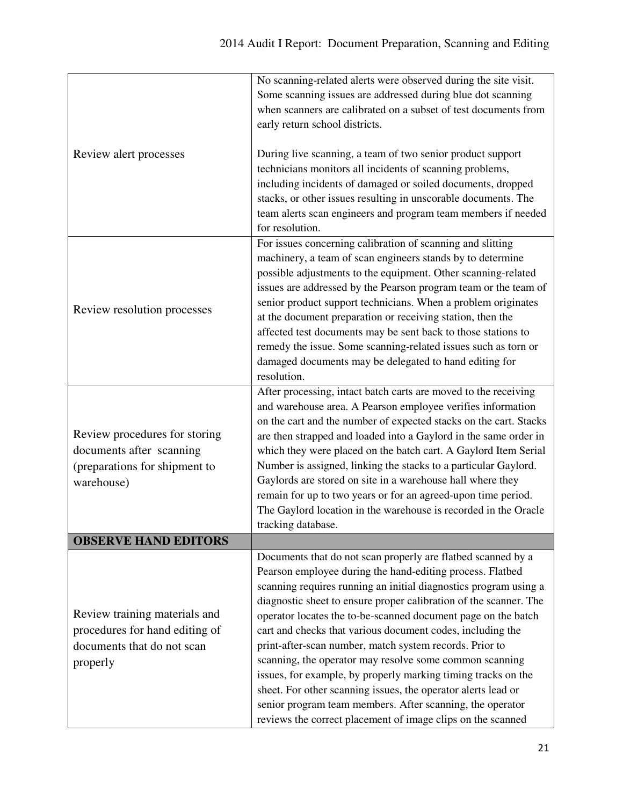|                                | No scanning-related alerts were observed during the site visit.<br>Some scanning issues are addressed during blue dot scanning |
|--------------------------------|--------------------------------------------------------------------------------------------------------------------------------|
|                                | when scanners are calibrated on a subset of test documents from                                                                |
|                                | early return school districts.                                                                                                 |
|                                |                                                                                                                                |
| Review alert processes         | During live scanning, a team of two senior product support                                                                     |
|                                | technicians monitors all incidents of scanning problems,                                                                       |
|                                | including incidents of damaged or soiled documents, dropped                                                                    |
|                                | stacks, or other issues resulting in unscorable documents. The                                                                 |
|                                | team alerts scan engineers and program team members if needed                                                                  |
|                                | for resolution.                                                                                                                |
|                                | For issues concerning calibration of scanning and slitting                                                                     |
|                                | machinery, a team of scan engineers stands by to determine                                                                     |
|                                | possible adjustments to the equipment. Other scanning-related                                                                  |
|                                | issues are addressed by the Pearson program team or the team of                                                                |
| Review resolution processes    | senior product support technicians. When a problem originates                                                                  |
|                                | at the document preparation or receiving station, then the                                                                     |
|                                | affected test documents may be sent back to those stations to                                                                  |
|                                | remedy the issue. Some scanning-related issues such as torn or                                                                 |
|                                | damaged documents may be delegated to hand editing for                                                                         |
|                                | resolution.                                                                                                                    |
|                                | After processing, intact batch carts are moved to the receiving                                                                |
|                                | and warehouse area. A Pearson employee verifies information                                                                    |
|                                | on the cart and the number of expected stacks on the cart. Stacks                                                              |
| Review procedures for storing  | are then strapped and loaded into a Gaylord in the same order in                                                               |
| documents after scanning       | which they were placed on the batch cart. A Gaylord Item Serial                                                                |
| (preparations for shipment to  | Number is assigned, linking the stacks to a particular Gaylord.                                                                |
| warehouse)                     | Gaylords are stored on site in a warehouse hall where they                                                                     |
|                                | remain for up to two years or for an agreed-upon time period.                                                                  |
|                                | The Gaylord location in the warehouse is recorded in the Oracle                                                                |
| <b>OBSERVE HAND EDITORS</b>    | tracking database.                                                                                                             |
|                                |                                                                                                                                |
|                                | Documents that do not scan properly are flatbed scanned by a<br>Pearson employee during the hand-editing process. Flatbed      |
|                                | scanning requires running an initial diagnostics program using a                                                               |
|                                | diagnostic sheet to ensure proper calibration of the scanner. The                                                              |
| Review training materials and  | operator locates the to-be-scanned document page on the batch                                                                  |
| procedures for hand editing of | cart and checks that various document codes, including the                                                                     |
| documents that do not scan     | print-after-scan number, match system records. Prior to                                                                        |
| properly                       | scanning, the operator may resolve some common scanning                                                                        |
|                                | issues, for example, by properly marking timing tracks on the                                                                  |
|                                | sheet. For other scanning issues, the operator alerts lead or                                                                  |
|                                | senior program team members. After scanning, the operator                                                                      |
|                                | reviews the correct placement of image clips on the scanned                                                                    |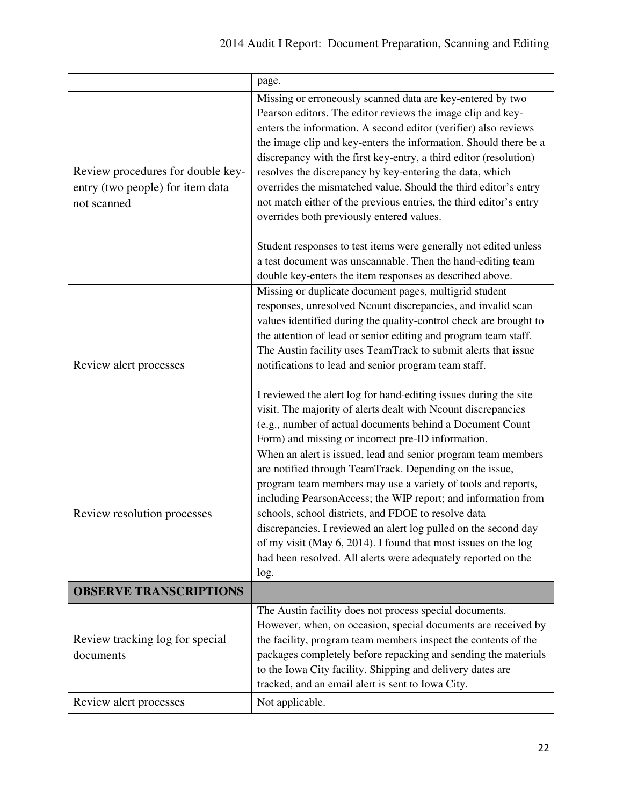|                                                                                      | page.                                                                                                                                                                                                                                                                                                                                                                                                                                                                                                                                                                                                                                                       |
|--------------------------------------------------------------------------------------|-------------------------------------------------------------------------------------------------------------------------------------------------------------------------------------------------------------------------------------------------------------------------------------------------------------------------------------------------------------------------------------------------------------------------------------------------------------------------------------------------------------------------------------------------------------------------------------------------------------------------------------------------------------|
| Review procedures for double key-<br>entry (two people) for item data<br>not scanned | Missing or erroneously scanned data are key-entered by two<br>Pearson editors. The editor reviews the image clip and key-<br>enters the information. A second editor (verifier) also reviews<br>the image clip and key-enters the information. Should there be a<br>discrepancy with the first key-entry, a third editor (resolution)<br>resolves the discrepancy by key-entering the data, which<br>overrides the mismatched value. Should the third editor's entry<br>not match either of the previous entries, the third editor's entry<br>overrides both previously entered values.<br>Student responses to test items were generally not edited unless |
|                                                                                      | a test document was unscannable. Then the hand-editing team<br>double key-enters the item responses as described above.                                                                                                                                                                                                                                                                                                                                                                                                                                                                                                                                     |
| Review alert processes                                                               | Missing or duplicate document pages, multigrid student<br>responses, unresolved Ncount discrepancies, and invalid scan<br>values identified during the quality-control check are brought to<br>the attention of lead or senior editing and program team staff.<br>The Austin facility uses TeamTrack to submit alerts that issue<br>notifications to lead and senior program team staff.<br>I reviewed the alert log for hand-editing issues during the site<br>visit. The majority of alerts dealt with Ncount discrepancies<br>(e.g., number of actual documents behind a Document Count<br>Form) and missing or incorrect pre-ID information.            |
| Review resolution processes                                                          | When an alert is issued, lead and senior program team members<br>are notified through TeamTrack. Depending on the issue,<br>program team members may use a variety of tools and reports,<br>including PearsonAccess; the WIP report; and information from<br>schools, school districts, and FDOE to resolve data<br>discrepancies. I reviewed an alert log pulled on the second day<br>of my visit (May 6, 2014). I found that most issues on the log<br>had been resolved. All alerts were adequately reported on the<br>log.                                                                                                                              |
| <b>OBSERVE TRANSCRIPTIONS</b>                                                        |                                                                                                                                                                                                                                                                                                                                                                                                                                                                                                                                                                                                                                                             |
| Review tracking log for special<br>documents                                         | The Austin facility does not process special documents.<br>However, when, on occasion, special documents are received by<br>the facility, program team members inspect the contents of the<br>packages completely before repacking and sending the materials<br>to the Iowa City facility. Shipping and delivery dates are<br>tracked, and an email alert is sent to Iowa City.                                                                                                                                                                                                                                                                             |
| Review alert processes                                                               | Not applicable.                                                                                                                                                                                                                                                                                                                                                                                                                                                                                                                                                                                                                                             |